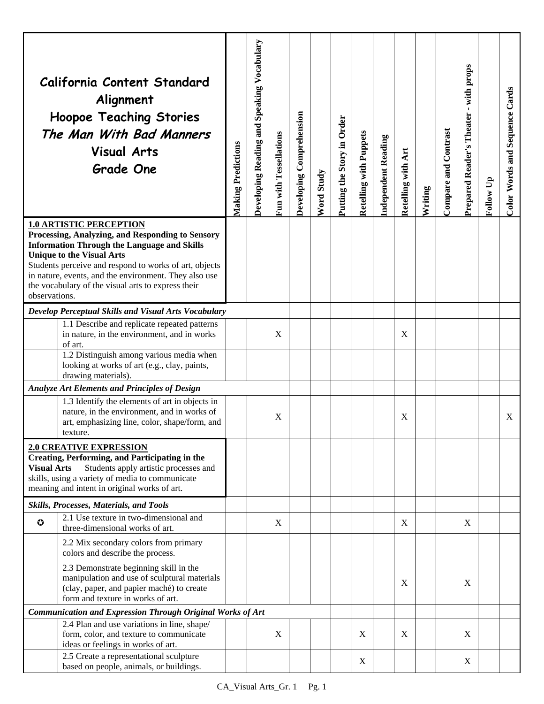|                                                                                                                                                                                                                                                           | California Content Standard<br>Alignment<br><b>Hoopoe Teaching Stories</b><br>The Man With Bad Manners<br><b>Visual Arts</b><br><b>Grade One</b>                                                                                                                                                                                                      | <b>Making Predictions</b> | <b>Developing Reading and Speaking Vocabulary</b> | Fun with Tessellations    | Developing Comprehension | Word Study | Putting the Story in Order | <b>Retelling with Puppets</b> | <b>Independent Reading</b> | Retelling with Art        | Writing | Compare and Contrast | Prepared Reader's Theater - with props | Follow Up | Color Words and Sequence Cards |
|-----------------------------------------------------------------------------------------------------------------------------------------------------------------------------------------------------------------------------------------------------------|-------------------------------------------------------------------------------------------------------------------------------------------------------------------------------------------------------------------------------------------------------------------------------------------------------------------------------------------------------|---------------------------|---------------------------------------------------|---------------------------|--------------------------|------------|----------------------------|-------------------------------|----------------------------|---------------------------|---------|----------------------|----------------------------------------|-----------|--------------------------------|
| observations.                                                                                                                                                                                                                                             | <b>1.0 ARTISTIC PERCEPTION</b><br>Processing, Analyzing, and Responding to Sensory<br><b>Information Through the Language and Skills</b><br><b>Unique to the Visual Arts</b><br>Students perceive and respond to works of art, objects<br>in nature, events, and the environment. They also use<br>the vocabulary of the visual arts to express their |                           |                                                   |                           |                          |            |                            |                               |                            |                           |         |                      |                                        |           |                                |
| Develop Perceptual Skills and Visual Arts Vocabulary                                                                                                                                                                                                      |                                                                                                                                                                                                                                                                                                                                                       |                           |                                                   |                           |                          |            |                            |                               |                            |                           |         |                      |                                        |           |                                |
|                                                                                                                                                                                                                                                           | 1.1 Describe and replicate repeated patterns<br>in nature, in the environment, and in works<br>of art.<br>1.2 Distinguish among various media when                                                                                                                                                                                                    |                           |                                                   | X                         |                          |            |                            |                               |                            | X                         |         |                      |                                        |           |                                |
|                                                                                                                                                                                                                                                           | looking at works of art (e.g., clay, paints,<br>drawing materials).                                                                                                                                                                                                                                                                                   |                           |                                                   |                           |                          |            |                            |                               |                            |                           |         |                      |                                        |           |                                |
|                                                                                                                                                                                                                                                           | Analyze Art Elements and Principles of Design                                                                                                                                                                                                                                                                                                         |                           |                                                   |                           |                          |            |                            |                               |                            |                           |         |                      |                                        |           |                                |
|                                                                                                                                                                                                                                                           | 1.3 Identify the elements of art in objects in<br>nature, in the environment, and in works of<br>art, emphasizing line, color, shape/form, and<br>texture.                                                                                                                                                                                            |                           |                                                   | X                         |                          |            |                            |                               |                            | X                         |         |                      |                                        |           | X                              |
| <b>2.0 CREATIVE EXPRESSION</b><br><b>Creating, Performing, and Participating in the</b><br>Students apply artistic processes and<br><b>Visual Arts</b><br>skills, using a variety of media to communicate<br>meaning and intent in original works of art. |                                                                                                                                                                                                                                                                                                                                                       |                           |                                                   |                           |                          |            |                            |                               |                            |                           |         |                      |                                        |           |                                |
|                                                                                                                                                                                                                                                           | Skills, Processes, Materials, and Tools                                                                                                                                                                                                                                                                                                               |                           |                                                   |                           |                          |            |                            |                               |                            |                           |         |                      |                                        |           |                                |
| $\bullet$                                                                                                                                                                                                                                                 | 2.1 Use texture in two-dimensional and<br>three-dimensional works of art.                                                                                                                                                                                                                                                                             |                           |                                                   | $\boldsymbol{\mathrm{X}}$ |                          |            |                            |                               |                            | $\mathbf X$               |         |                      | X                                      |           |                                |
|                                                                                                                                                                                                                                                           | 2.2 Mix secondary colors from primary<br>colors and describe the process.                                                                                                                                                                                                                                                                             |                           |                                                   |                           |                          |            |                            |                               |                            |                           |         |                      |                                        |           |                                |
|                                                                                                                                                                                                                                                           | 2.3 Demonstrate beginning skill in the<br>manipulation and use of sculptural materials<br>(clay, paper, and papier maché) to create<br>form and texture in works of art.                                                                                                                                                                              |                           |                                                   |                           |                          |            |                            |                               |                            | $\boldsymbol{\mathrm{X}}$ |         |                      | X                                      |           |                                |
| Communication and Expression Through Original Works of Art                                                                                                                                                                                                |                                                                                                                                                                                                                                                                                                                                                       |                           |                                                   |                           |                          |            |                            |                               |                            |                           |         |                      |                                        |           |                                |
|                                                                                                                                                                                                                                                           | 2.4 Plan and use variations in line, shape/<br>form, color, and texture to communicate<br>ideas or feelings in works of art.                                                                                                                                                                                                                          |                           |                                                   | X                         |                          |            |                            | X                             |                            | $\mathbf X$               |         |                      | X                                      |           |                                |
|                                                                                                                                                                                                                                                           | 2.5 Create a representational sculpture<br>based on people, animals, or buildings.                                                                                                                                                                                                                                                                    |                           |                                                   |                           |                          |            |                            | X                             |                            |                           |         |                      | X                                      |           |                                |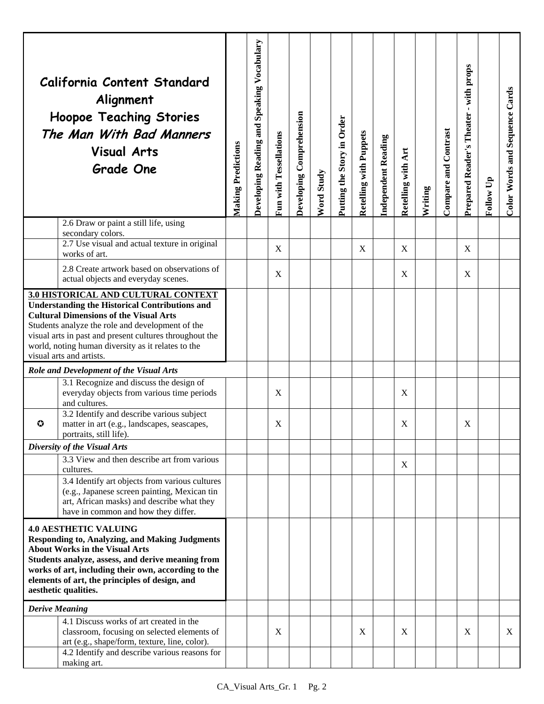|                                                                                                                                                                                                                                                                                                                                                       | California Content Standard<br>Alignment<br><b>Hoopoe Teaching Stories</b><br>The Man With Bad Manners<br><b>Visual Arts</b><br><b>Grade One</b>                                         | <b>Making Predictions</b> | Developing Reading and Speaking Vocabulary | Fun with Tessellations | Developing Comprehension | Word Study | Putting the Story in Order | Retelling with Puppets | <b>Independent Reading</b> | Retelling with Art | Writing | Compare and Contrast | with props<br>$\mathbf{r}$<br>Prepared Reader's Theater | Follow Up | Color Words and Sequence Cards |
|-------------------------------------------------------------------------------------------------------------------------------------------------------------------------------------------------------------------------------------------------------------------------------------------------------------------------------------------------------|------------------------------------------------------------------------------------------------------------------------------------------------------------------------------------------|---------------------------|--------------------------------------------|------------------------|--------------------------|------------|----------------------------|------------------------|----------------------------|--------------------|---------|----------------------|---------------------------------------------------------|-----------|--------------------------------|
|                                                                                                                                                                                                                                                                                                                                                       | 2.6 Draw or paint a still life, using<br>secondary colors.                                                                                                                               |                           |                                            |                        |                          |            |                            |                        |                            |                    |         |                      |                                                         |           |                                |
|                                                                                                                                                                                                                                                                                                                                                       | 2.7 Use visual and actual texture in original<br>works of art.                                                                                                                           |                           |                                            | X                      |                          |            |                            | X                      |                            | X                  |         |                      | X                                                       |           |                                |
|                                                                                                                                                                                                                                                                                                                                                       | 2.8 Create artwork based on observations of<br>actual objects and everyday scenes.                                                                                                       |                           |                                            | X                      |                          |            |                            |                        |                            | X                  |         |                      | X                                                       |           |                                |
| <b>3.0 HISTORICAL AND CULTURAL CONTEXT</b><br><b>Understanding the Historical Contributions and</b><br><b>Cultural Dimensions of the Visual Arts</b><br>Students analyze the role and development of the<br>visual arts in past and present cultures throughout the<br>world, noting human diversity as it relates to the<br>visual arts and artists. |                                                                                                                                                                                          |                           |                                            |                        |                          |            |                            |                        |                            |                    |         |                      |                                                         |           |                                |
|                                                                                                                                                                                                                                                                                                                                                       | Role and Development of the Visual Arts                                                                                                                                                  |                           |                                            |                        |                          |            |                            |                        |                            |                    |         |                      |                                                         |           |                                |
|                                                                                                                                                                                                                                                                                                                                                       | 3.1 Recognize and discuss the design of<br>everyday objects from various time periods<br>and cultures.                                                                                   |                           |                                            | X                      |                          |            |                            |                        |                            | X                  |         |                      |                                                         |           |                                |
| $\bm{\bm{\omega}}$                                                                                                                                                                                                                                                                                                                                    | 3.2 Identify and describe various subject<br>matter in art (e.g., landscapes, seascapes,<br>portraits, still life).                                                                      |                           |                                            | X                      |                          |            |                            |                        |                            | X                  |         |                      | X                                                       |           |                                |
|                                                                                                                                                                                                                                                                                                                                                       | Diversity of the Visual Arts                                                                                                                                                             |                           |                                            |                        |                          |            |                            |                        |                            |                    |         |                      |                                                         |           |                                |
|                                                                                                                                                                                                                                                                                                                                                       | 3.3 View and then describe art from various<br>cultures.                                                                                                                                 |                           |                                            |                        |                          |            |                            |                        |                            | X                  |         |                      |                                                         |           |                                |
|                                                                                                                                                                                                                                                                                                                                                       | 3.4 Identify art objects from various cultures<br>(e.g., Japanese screen painting, Mexican tin<br>art, African masks) and describe what they<br>have in common and how they differ.      |                           |                                            |                        |                          |            |                            |                        |                            |                    |         |                      |                                                         |           |                                |
| <b>4.0 AESTHETIC VALUING</b><br><b>Responding to, Analyzing, and Making Judgments</b><br><b>About Works in the Visual Arts</b><br>Students analyze, assess, and derive meaning from<br>works of art, including their own, according to the<br>elements of art, the principles of design, and<br>aesthetic qualities.                                  |                                                                                                                                                                                          |                           |                                            |                        |                          |            |                            |                        |                            |                    |         |                      |                                                         |           |                                |
| <b>Derive Meaning</b>                                                                                                                                                                                                                                                                                                                                 |                                                                                                                                                                                          |                           |                                            |                        |                          |            |                            |                        |                            |                    |         |                      |                                                         |           |                                |
|                                                                                                                                                                                                                                                                                                                                                       | 4.1 Discuss works of art created in the<br>classroom, focusing on selected elements of<br>art (e.g., shape/form, texture, line, color).<br>4.2 Identify and describe various reasons for |                           |                                            | X                      |                          |            |                            | X                      |                            | X                  |         |                      | X                                                       |           | X                              |
|                                                                                                                                                                                                                                                                                                                                                       | making art.                                                                                                                                                                              |                           |                                            |                        |                          |            |                            |                        |                            |                    |         |                      |                                                         |           |                                |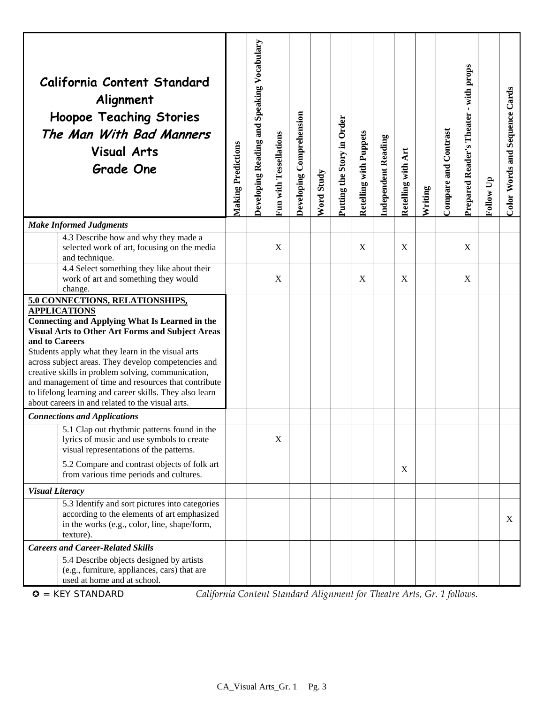|                                                                                                                                                                                                                                                                                                                                                                                                                                                                                                                                       | California Content Standard<br>Alignment<br><b>Hoopoe Teaching Stories</b><br>The Man With Bad Manners<br><b>Visual Arts</b><br><b>Grade One</b>                    | <b>Making Predictions</b> | <b>Developing Reading and Speaking Vocabulary</b> | Fun with Tessellations | Developing Comprehension | Word Study | Putting the Story in Order | <b>Retelling with Puppets</b> | Independent Reading | Retelling with Art | Writing | Compare and Contrast | - with props<br>Prepared Reader's Theater | Follow Up | Color Words and Sequence Cards |
|---------------------------------------------------------------------------------------------------------------------------------------------------------------------------------------------------------------------------------------------------------------------------------------------------------------------------------------------------------------------------------------------------------------------------------------------------------------------------------------------------------------------------------------|---------------------------------------------------------------------------------------------------------------------------------------------------------------------|---------------------------|---------------------------------------------------|------------------------|--------------------------|------------|----------------------------|-------------------------------|---------------------|--------------------|---------|----------------------|-------------------------------------------|-----------|--------------------------------|
|                                                                                                                                                                                                                                                                                                                                                                                                                                                                                                                                       | <b>Make Informed Judgments</b>                                                                                                                                      |                           |                                                   |                        |                          |            |                            |                               |                     |                    |         |                      |                                           |           |                                |
|                                                                                                                                                                                                                                                                                                                                                                                                                                                                                                                                       | 4.3 Describe how and why they made a<br>selected work of art, focusing on the media<br>and technique.                                                               |                           |                                                   | X                      |                          |            |                            | X                             |                     | X                  |         |                      | X                                         |           |                                |
|                                                                                                                                                                                                                                                                                                                                                                                                                                                                                                                                       | 4.4 Select something they like about their<br>work of art and something they would<br>change.                                                                       |                           |                                                   | X                      |                          |            |                            | X                             |                     | X                  |         |                      | X                                         |           |                                |
| 5.0 CONNECTIONS, RELATIONSHIPS,<br><b>APPLICATIONS</b><br><b>Connecting and Applying What Is Learned in the</b><br><b>Visual Arts to Other Art Forms and Subject Areas</b><br>and to Careers<br>Students apply what they learn in the visual arts<br>across subject areas. They develop competencies and<br>creative skills in problem solving, communication,<br>and management of time and resources that contribute<br>to lifelong learning and career skills. They also learn<br>about careers in and related to the visual arts. |                                                                                                                                                                     |                           |                                                   |                        |                          |            |                            |                               |                     |                    |         |                      |                                           |           |                                |
|                                                                                                                                                                                                                                                                                                                                                                                                                                                                                                                                       | <b>Connections and Applications</b>                                                                                                                                 |                           |                                                   |                        |                          |            |                            |                               |                     |                    |         |                      |                                           |           |                                |
|                                                                                                                                                                                                                                                                                                                                                                                                                                                                                                                                       | 5.1 Clap out rhythmic patterns found in the<br>lyrics of music and use symbols to create<br>visual representations of the patterns.                                 |                           |                                                   | X                      |                          |            |                            |                               |                     |                    |         |                      |                                           |           |                                |
|                                                                                                                                                                                                                                                                                                                                                                                                                                                                                                                                       | 5.2 Compare and contrast objects of folk art<br>from various time periods and cultures.                                                                             |                           |                                                   |                        |                          |            |                            |                               |                     | X                  |         |                      |                                           |           |                                |
| <b>Visual Literacy</b>                                                                                                                                                                                                                                                                                                                                                                                                                                                                                                                |                                                                                                                                                                     |                           |                                                   |                        |                          |            |                            |                               |                     |                    |         |                      |                                           |           |                                |
|                                                                                                                                                                                                                                                                                                                                                                                                                                                                                                                                       | 5.3 Identify and sort pictures into categories<br>according to the elements of art emphasized<br>in the works (e.g., color, line, shape/form,<br>texture).          |                           |                                                   |                        |                          |            |                            |                               |                     |                    |         |                      |                                           |           | X                              |
|                                                                                                                                                                                                                                                                                                                                                                                                                                                                                                                                       | <b>Careers and Career-Related Skills</b><br>5.4 Describe objects designed by artists<br>(e.g., furniture, appliances, cars) that are<br>used at home and at school. |                           |                                                   |                        |                          |            |                            |                               |                     |                    |         |                      |                                           |           |                                |

= KEY STANDARD *California Content Standard Alignment for Theatre Arts, Gr. 1 follows.*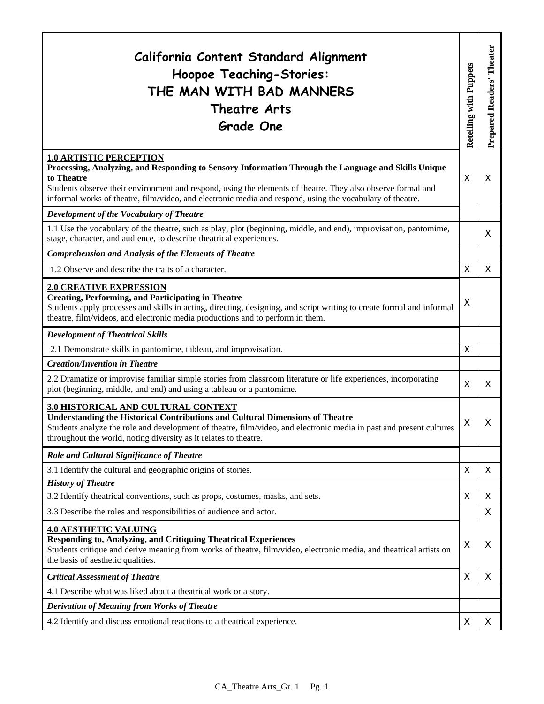| California Content Standard Alignment<br>Hoopoe Teaching-Stories:<br>THE MAN WITH BAD MANNERS<br>Theatre Arts<br><b>Grade One</b>                                                                                                                                                                                                                                               | Retelling with Puppets | Theater<br>Prepared Readers' |
|---------------------------------------------------------------------------------------------------------------------------------------------------------------------------------------------------------------------------------------------------------------------------------------------------------------------------------------------------------------------------------|------------------------|------------------------------|
| <b>1.0 ARTISTIC PERCEPTION</b><br>Processing, Analyzing, and Responding to Sensory Information Through the Language and Skills Unique<br>to Theatre<br>Students observe their environment and respond, using the elements of theatre. They also observe formal and<br>informal works of theatre, film/video, and electronic media and respond, using the vocabulary of theatre. | $\sf X$                | X                            |
| Development of the Vocabulary of Theatre                                                                                                                                                                                                                                                                                                                                        |                        |                              |
| 1.1 Use the vocabulary of the theatre, such as play, plot (beginning, middle, and end), improvisation, pantomime,<br>stage, character, and audience, to describe theatrical experiences.                                                                                                                                                                                        |                        | X                            |
| <b>Comprehension and Analysis of the Elements of Theatre</b>                                                                                                                                                                                                                                                                                                                    |                        |                              |
| 1.2 Observe and describe the traits of a character.                                                                                                                                                                                                                                                                                                                             | X                      | X                            |
| <b>2.0 CREATIVE EXPRESSION</b><br><b>Creating, Performing, and Participating in Theatre</b><br>Students apply processes and skills in acting, directing, designing, and script writing to create formal and informal<br>theatre, film/videos, and electronic media productions and to perform in them.                                                                          | X                      |                              |
| <b>Development of Theatrical Skills</b>                                                                                                                                                                                                                                                                                                                                         |                        |                              |
| 2.1 Demonstrate skills in pantomime, tableau, and improvisation.                                                                                                                                                                                                                                                                                                                | X                      |                              |
| <b>Creation/Invention in Theatre</b>                                                                                                                                                                                                                                                                                                                                            |                        |                              |
| 2.2 Dramatize or improvise familiar simple stories from classroom literature or life experiences, incorporating<br>plot (beginning, middle, and end) and using a tableau or a pantomime.                                                                                                                                                                                        | X                      | X                            |
| 3.0 HISTORICAL AND CULTURAL CONTEXT<br><b>Understanding the Historical Contributions and Cultural Dimensions of Theatre</b><br>Students analyze the role and development of theatre, film/video, and electronic media in past and present cultures<br>throughout the world, noting diversity as it relates to theatre.                                                          | X                      | X                            |
| Role and Cultural Significance of Theatre                                                                                                                                                                                                                                                                                                                                       |                        |                              |
| 3.1 Identify the cultural and geographic origins of stories.                                                                                                                                                                                                                                                                                                                    | X                      | X                            |
| <b>History of Theatre</b>                                                                                                                                                                                                                                                                                                                                                       |                        |                              |
| 3.2 Identify theatrical conventions, such as props, costumes, masks, and sets.                                                                                                                                                                                                                                                                                                  | X                      | X                            |
| 3.3 Describe the roles and responsibilities of audience and actor.                                                                                                                                                                                                                                                                                                              |                        | X                            |
| <b>4.0 AESTHETIC VALUING</b><br><b>Responding to, Analyzing, and Critiquing Theatrical Experiences</b><br>Students critique and derive meaning from works of theatre, film/video, electronic media, and theatrical artists on<br>the basis of aesthetic qualities.                                                                                                              | X                      | Χ                            |
| <b>Critical Assessment of Theatre</b>                                                                                                                                                                                                                                                                                                                                           | X                      | X                            |
| 4.1 Describe what was liked about a theatrical work or a story.                                                                                                                                                                                                                                                                                                                 |                        |                              |
| <b>Derivation of Meaning from Works of Theatre</b>                                                                                                                                                                                                                                                                                                                              |                        |                              |
| 4.2 Identify and discuss emotional reactions to a theatrical experience.                                                                                                                                                                                                                                                                                                        | X                      | X                            |